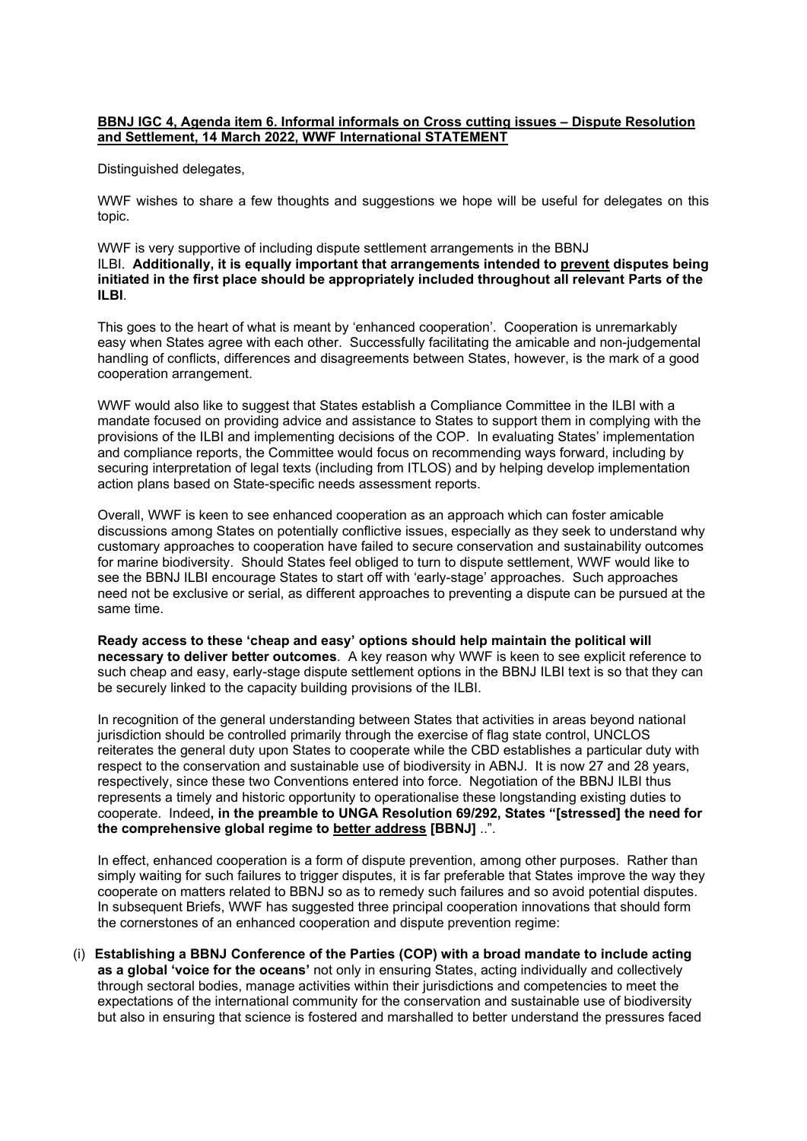## **BBNJ IGC 4, Agenda item 6. Informal informals on Cross cutting issues – Dispute Resolution and Settlement, 14 March 2022, WWF International STATEMENT**

Distinguished delegates,

WWF wishes to share a few thoughts and suggestions we hope will be useful for delegates on this topic.

WWF is very supportive of including dispute settlement arrangements in the BBNJ ILBI. **Additionally, it is equally important that arrangements intended to prevent disputes being initiated in the first place should be appropriately included throughout all relevant Parts of the ILBI**.

This goes to the heart of what is meant by 'enhanced cooperation'. Cooperation is unremarkably easy when States agree with each other. Successfully facilitating the amicable and non-judgemental handling of conflicts, differences and disagreements between States, however, is the mark of a good cooperation arrangement.

WWF would also like to suggest that States establish a Compliance Committee in the ILBI with a mandate focused on providing advice and assistance to States to support them in complying with the provisions of the ILBI and implementing decisions of the COP. In evaluating States' implementation and compliance reports, the Committee would focus on recommending ways forward, including by securing interpretation of legal texts (including from ITLOS) and by helping develop implementation action plans based on State-specific needs assessment reports.

Overall, WWF is keen to see enhanced cooperation as an approach which can foster amicable discussions among States on potentially conflictive issues, especially as they seek to understand why customary approaches to cooperation have failed to secure conservation and sustainability outcomes for marine biodiversity. Should States feel obliged to turn to dispute settlement, WWF would like to see the BBNJ ILBI encourage States to start off with 'early-stage' approaches. Such approaches need not be exclusive or serial, as different approaches to preventing a dispute can be pursued at the same time.

**Ready access to these 'cheap and easy' options should help maintain the political will necessary to deliver better outcomes**. A key reason why WWF is keen to see explicit reference to such cheap and easy, early-stage dispute settlement options in the BBNJ ILBI text is so that they can be securely linked to the capacity building provisions of the ILBI.

In recognition of the general understanding between States that activities in areas beyond national jurisdiction should be controlled primarily through the exercise of flag state control, UNCLOS reiterates the general duty upon States to cooperate while the CBD establishes a particular duty with respect to the conservation and sustainable use of biodiversity in ABNJ. It is now 27 and 28 years, respectively, since these two Conventions entered into force. Negotiation of the BBNJ ILBI thus represents a timely and historic opportunity to operationalise these longstanding existing duties to cooperate. Indeed**, in the preamble to UNGA Resolution 69/292, States "[stressed] the need for the comprehensive global regime to better address [BBNJ]** ..".

In effect, enhanced cooperation is a form of dispute prevention, among other purposes. Rather than simply waiting for such failures to trigger disputes, it is far preferable that States improve the way they cooperate on matters related to BBNJ so as to remedy such failures and so avoid potential disputes. In subsequent Briefs, WWF has suggested three principal cooperation innovations that should form the cornerstones of an enhanced cooperation and dispute prevention regime:

(i) **Establishing a BBNJ Conference of the Parties (COP) with a broad mandate to include acting as a global 'voice for the oceans'** not only in ensuring States, acting individually and collectively through sectoral bodies, manage activities within their jurisdictions and competencies to meet the expectations of the international community for the conservation and sustainable use of biodiversity but also in ensuring that science is fostered and marshalled to better understand the pressures faced